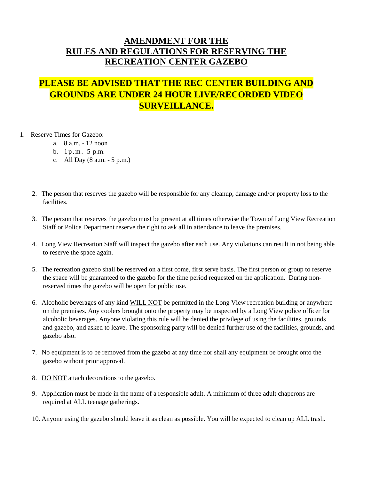## **AMENDMENT FOR THE RULES AND REGULATIONS FOR RESERVING THE RECREATION CENTER GAZEBO**

## **PLEASE BE ADVISED THAT THE REC CENTER BUILDING AND GROUNDS ARE UNDER 24 HOUR LIVE/RECORDED VIDEO SURVEILLANCE.**

- 1. Reserve Times for Gazebo:
	- a. 8 a.m. 12 noon
	- b. 1p.m.-5 p.m.
	- c. All Day (8 a.m. 5 p.m.)
	- 2. The person that reserves the gazebo will be responsible for any cleanup, damage and/or property loss to the facilities.
	- 3. The person that reserves the gazebo must be present at all times otherwise the Town of Long View Recreation Staff or Police Department reserve the right to ask all in attendance to leave the premises.
	- 4. Long View Recreation Staff will inspect the gazebo after each use. Any violations can result in not being able to reserve the space again.
	- 5. The recreation gazebo shall be reserved on a first come, first serve basis. The first person or group to reserve the space will be guaranteed to the gazebo for the time period requested on the application. During nonreserved times the gazebo will be open for public use.
	- 6. Alcoholic beverages of any kind WILL NOT be permitted in the Long View recreation building or anywhere on the premises. Any coolers brought onto the property may be inspected by a Long View police officer for alcoholic beverages. Anyone violating this rule will be denied the privilege of using the facilities, grounds and gazebo, and asked to leave. The sponsoring party will be denied further use of the facilities, grounds, and gazebo also.
	- 7. No equipment is to be removed from the gazebo at any time nor shall any equipment be brought onto the gazebo without prior approval.
	- 8. DO NOT attach decorations to the gazebo.
	- 9. Application must be made in the name of a responsible adult. A minimum of three adult chaperons are required at **ALL** teenage gatherings.
	- 10. Anyone using the gazebo should leave it as clean as possible. You will be expected to clean up ALL trash.